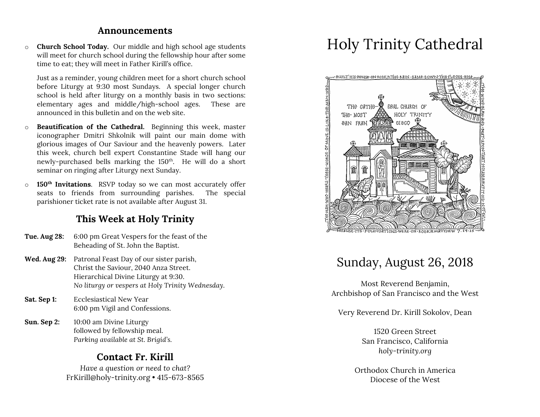### **Announcements**

o **Church School Today.** Our middle and high school age students will meet for church school during the fellowship hour after some time to eat; they will meet in Father Kirill's office.

Just as a reminder, young children meet for a short church school before Liturgy at 9:30 most Sundays. A special longer church school is held after liturgy on a monthly basis in two sections: elementary ages and middle/high-school ages. These are announced in this bulletin and on the web site.

- o **Beautification of the Cathedral.** Beginning this week, master iconographer Dmitri Shkolnik will paint our main dome with glorious images of Our Saviour and the heavenly powers. Later this week, church bell expert Constantine Stade will hang our newly-purchased bells marking the 150<sup>th</sup>. He will do a short seminar on ringing after Liturgy next Sunday.
- o **150th Invitations**. RSVP today so we can most accurately offer seats to friends from surrounding parishes. The special parishioner ticket rate is not available after August 31.

## **This Week at Holy Trinity**

- **Tue. Aug 28:** 6:00 pm Great Vespers for the feast of the Beheading of St. John the Baptist.
- **Wed. Aug 29:** Patronal Feast Day of our sister parish, Christ the Saviour, 2040 Anza Street. Hierarchical Divine Liturgy at 9:30. *No liturgy or vespers at Holy Trinity Wednesday.*
- **Sat. Sep 1:** Ecclesiastical New Year 6:00 pm Vigil and Confessions.
- **Sun. Sep 2:** 10:00 am Divine Liturgy followed by fellowship meal. *Parking available at St. Brigid's.*

## **Contact Fr. Kirill**

*Have a question or need to chat?* FrKirill@holy-trinity.org • 415-673-8565

# Holy Trinity Cathedral



## Sunday, August 26, 2018

Most Reverend Benjamin, Archbishop of San Francisco and the West

Very Reverend Dr. Kirill Sokolov, Dean

1520 Green Street San Francisco, California *holy-trinity.org*

Orthodox Church in America Diocese of the West